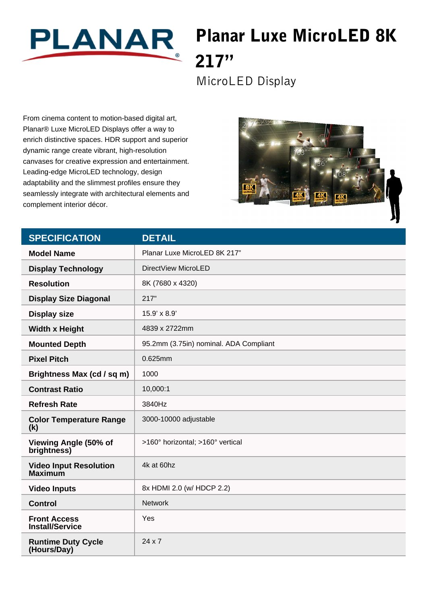

## Planar Luxe MicroLED 8K 217"

MicroLED Display

From cinema content to motion-based digital art, Planar® Luxe MicroLED Displays offer a way to enrich distinctive spaces. HDR support and superior dynamic range create vibrant, high-resolution canvases for creative expression and entertainment. Leading-edge MicroLED technology, design adaptability and the slimmest profiles ensure they seamlessly integrate with architectural elements and complement interior décor.



| <b>SPECIFICATION</b>                            | <b>DETAIL</b>                          |
|-------------------------------------------------|----------------------------------------|
| <b>Model Name</b>                               | Planar Luxe MicroLED 8K 217"           |
| <b>Display Technology</b>                       | DirectView MicroLED                    |
| <b>Resolution</b>                               | 8K (7680 x 4320)                       |
| <b>Display Size Diagonal</b>                    | 217"                                   |
| <b>Display size</b>                             | 15.9' x 8.9'                           |
| <b>Width x Height</b>                           | 4839 x 2722mm                          |
| <b>Mounted Depth</b>                            | 95.2mm (3.75in) nominal. ADA Compliant |
| <b>Pixel Pitch</b>                              | 0.625mm                                |
| Brightness Max (cd / sq m)                      | 1000                                   |
| <b>Contrast Ratio</b>                           | 10,000:1                               |
| <b>Refresh Rate</b>                             | 3840Hz                                 |
| <b>Color Temperature Range</b><br>(k)           | 3000-10000 adjustable                  |
| Viewing Angle (50% of<br>brightness)            | >160° horizontal; >160° vertical       |
| <b>Video Input Resolution</b><br><b>Maximum</b> | 4k at 60hz                             |
| <b>Video Inputs</b>                             | 8x HDMI 2.0 (w/ HDCP 2.2)              |
| <b>Control</b>                                  | <b>Network</b>                         |
| <b>Front Access</b><br><b>Install/Service</b>   | Yes                                    |
| <b>Runtime Duty Cycle</b><br>(Hours/Day)        | $24 \times 7$                          |